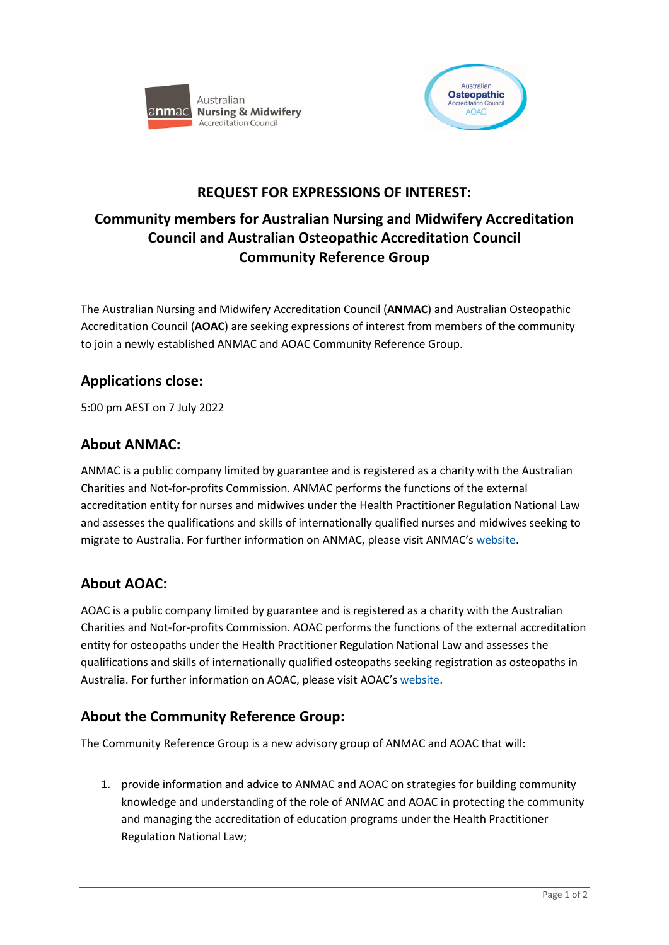



# **REQUEST FOR EXPRESSIONS OF INTEREST:**

# **Community members for Australian Nursing and Midwifery Accreditation Council and Australian Osteopathic Accreditation Council Community Reference Group**

The Australian Nursing and Midwifery Accreditation Council (**ANMAC**) and Australian Osteopathic Accreditation Council (**AOAC**) are seeking expressions of interest from members of the community to join a newly established ANMAC and AOAC Community Reference Group.

# **Applications close:**

5:00 pm AEST on 7 July 2022

#### **About ANMAC:**

ANMAC is a public company limited by guarantee and is registered as a charity with the Australian Charities and Not-for-profits Commission. ANMAC performs the functions of the external accreditation entity for nurses and midwives under the Health Practitioner Regulation National Law and assesses the qualifications and skills of internationally qualified nurses and midwives seeking to migrate to Australia. For further information on ANMAC, please visit ANMAC's [website.](https://anmac.org.au/)

# **About AOAC:**

AOAC is a public company limited by guarantee and is registered as a charity with the Australian Charities and Not-for-profits Commission. AOAC performs the functions of the external accreditation entity for osteopaths under the Health Practitioner Regulation National Law and assesses the qualifications and skills of internationally qualified osteopaths seeking registration as osteopaths in Australia. For further information on AOAC, please visit AOAC's [website.](https://osteopathiccouncil.org.au/)

# **About the Community Reference Group:**

The Community Reference Group is a new advisory group of ANMAC and AOAC that will:

1. provide information and advice to ANMAC and AOAC on strategies for building community knowledge and understanding of the role of ANMAC and AOAC in protecting the community and managing the accreditation of education programs under the Health Practitioner Regulation National Law;